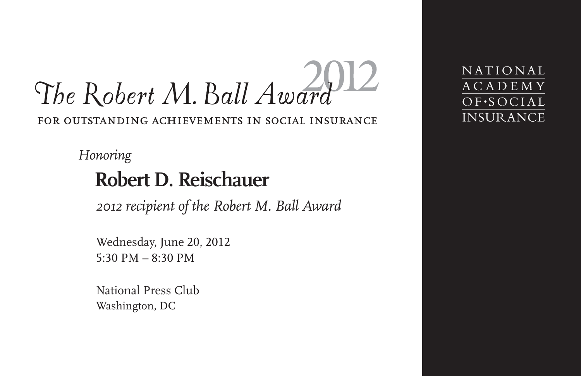# The Robert M. Ball Award FOR OUTSTANDING ACHIEVEMENTS IN SOCIAL INSURANCE

*Honoring*

# **Robert D. Reischauer**

*2012 recipient of the Robert M. Ball Award*

Wednesday, June 20, 2012 5:30 PM  $-8:30$  PM

National Press Club Washington, DC

NATIONAL **ACADEMY** OF.SOCIAL **INSURANCE**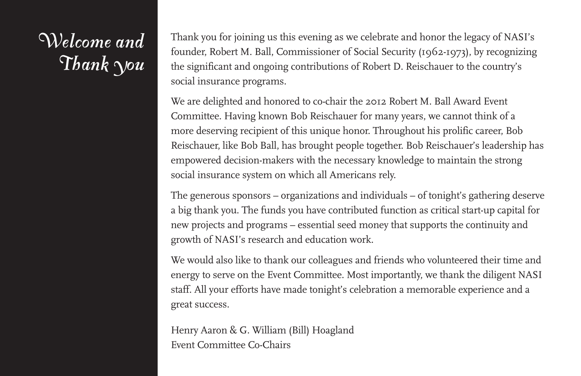# *Welcome and Thank You*

Thank you for joining us this evening as we celebrate and honor the legacy of NASI's founder, Robert M. Ball, Commissioner of Social Security (1962-1973), by recognizing the significant and ongoing contributions of Robert D. Reischauer to the country's social insurance programs.

We are delighted and honored to co-chair the 2012 Robert M. Ball Award Event Committee. Having known Bob Reischauer for many years, we cannot think of a more deserving recipient of this unique honor. Throughout his prolific career, Bob Reischauer, like Bob Ball, has brought people together. Bob Reischauer's leadership has empowered decision-makers with the necessary knowledge to maintain the strong social insurance system on which all Americans rely.

The generous sponsors – organizations and individuals – of tonight's gathering deserve a big thank you. The funds you have contributed function as critical start-up capital for new projects and programs – essential seed money that supports the continuity and growth of NASI's research and education work.

We would also like to thank our colleagues and friends who volunteered their time and energy to serve on the Event Committee. Most importantly, we thank the diligent NASI staff. All your efforts have made tonight's celebration a memorable experience and a great success.

Henry Aaron & G. William (Bill) Hoagland Event Committee Co-Chairs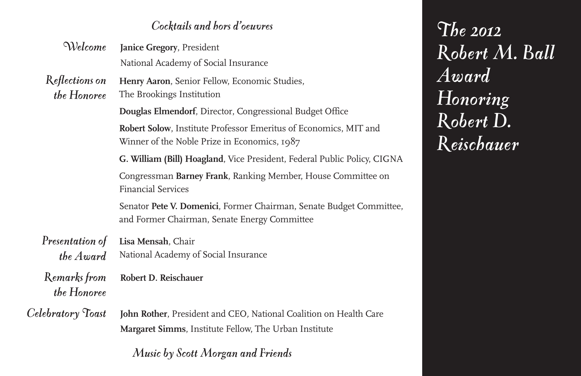#### *Cocktails and hors d'oeuvres*

| <i>Welcome</i> Janice Gregory, President |
|------------------------------------------|
| National Academy of Social Insurance     |

- *Reflections on* **Henry Aaron**, Senior Fellow, Economic Studies,
	- *the Honoree* The Brookings Institution

**Douglas Elmendorf**, Director, Congressional Budget Office

**Robert Solow**, Institute Professor Emeritus of Economics, MIT and Winner of the Noble Prize in Economics, 1987

**G. William (Bill) Hoagland**, Vice President, Federal Public Policy, CIGNA Congressman **Barney Frank**, Ranking Member, House Committee on Financial Services

Senator **Pete V. Domenici**, Former Chairman, Senate Budget Committee, and Former Chairman, Senate Energy Committee

#### *Presentation of the Award* **Lisa Mensah**, Chair National Academy of Social Insurance

*Remarks from* **Robert D. Reischauer** *the Honoree*

*Celebratory Toast* **John Rother**, President and CEO*,* National Coalition on Health Care **Margaret Simms**, Institute Fellow, The Urban Institute

*Music by Scott Morgan and Friends*

*The 2012 Robert M. Ball Award Honoring Robert D. Reischauer*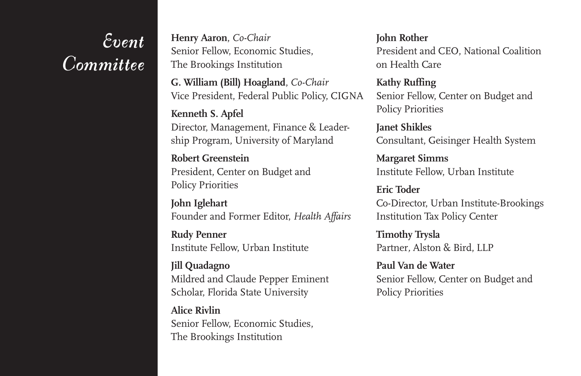## *Event Committee*

**Henry Aaron**, *Co-Chair* Senior Fellow, Economic Studies, The Brookings Institution

**G. William (Bill) Hoagland**, *Co-Chair* Vice President, Federal Public Policy, CIGNA

**Kenneth S. Apfel** Director, Management, Finance & Leadership Program, University of Maryland

**Robert Greenstein** President, Center on Budget and Policy Priorities

**John Iglehart** Founder and Former Editor, *Health Affairs*

**Rudy Penner** Institute Fellow, Urban Institute

**Jill Quadagno** Mildred and Claude Pepper Eminent Scholar, Florida State University

**Alice Rivlin** Senior Fellow, Economic Studies, The Brookings Institution

**John Rother** President and CEO, National Coalition on Health Care

**Kathy Ruffing** Senior Fellow, Center on Budget and Policy Priorities

**Janet Shikles** Consultant, Geisinger Health System

**Margaret Simms** Institute Fellow, Urban Institute

**Eric Toder** Co-Director, Urban Institute-Brookings Institution Tax Policy Center

**Timothy Trysla** Partner*,* Alston & Bird, LLP

**Paul Van de Water** Senior Fellow, Center on Budget and Policy Priorities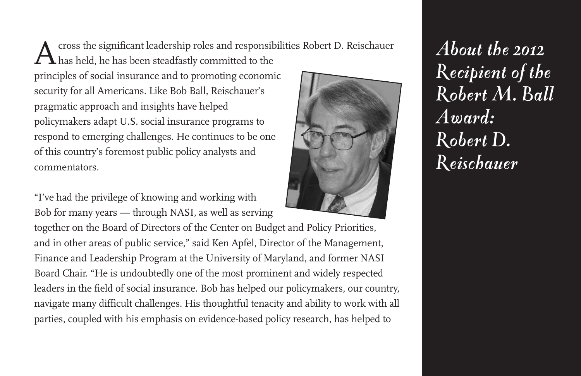Across the significant leadership roles and responsibilities Robert D. Reischauer  $\blacktriangle$  has held, he has been steadfastly committed to the principles of social insurance and to promoting economic security for all Americans. Like Bob Ball, Reischauer's pragmatic approach and insights have helped policymakers adapt U.S. social insurance programs to respond to emerging challenges. He continues to be one of this country's foremost public policy analysts and commentators.

"I've had the privilege of knowing and working with Bob for many years — through NASI, as well as serving

together on the Board of Directors of the Center on Budget and Policy Priorities, and in other areas of public service," said Ken Apfel, Director of the Management, Finance and Leadership Program at the University of Maryland, and former NASI Board Chair. "He is undoubtedly one of the most prominent and widely respected leaders in the field of social insurance. Bob has helped our policymakers, our country, navigate many difficult challenges. His thoughtful tenacity and ability to work with all parties, coupled with his emphasis on evidence-based policy research, has helped to



*About the 2012 Recipient of the Robert M. Ball Award: Robert D. Reischauer*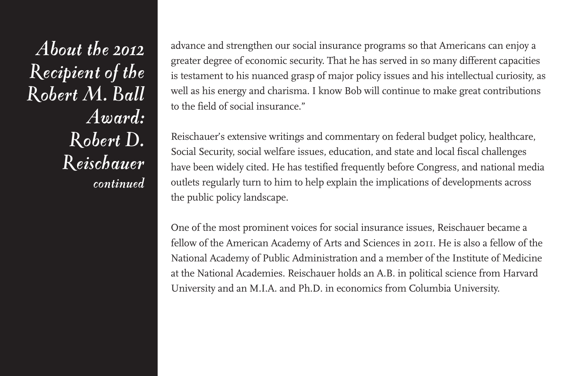*About the 2012 Recipient of the Robert M. Ball Award: Robert D. Reischauer continued*

advance and strengthen our social insurance programs so that Americans can enjoy a greater degree of economic security. That he has served in so many different capacities is testament to his nuanced grasp of major policy issues and his intellectual curiosity, as well as his energy and charisma. I know Bob will continue to make great contributions to the field of social insurance."

Reischauer's extensive writings and commentary on federal budget policy, healthcare, Social Security, social welfare issues, education, and state and local fiscal challenges have been widely cited. He has testified frequently before Congress, and national media outlets regularly turn to him to help explain the implications of developments across the public policy landscape.

One of the most prominent voices for social insurance issues, Reischauer became a fellow of the American Academy of Arts and Sciences in 2011. He is also a fellow of the National Academy of Public Administration and a member of the Institute of Medicine at the National Academies. Reischauer holds an A.B. in political science from Harvard University and an M.I.A. and Ph.D. in economics from Columbia University.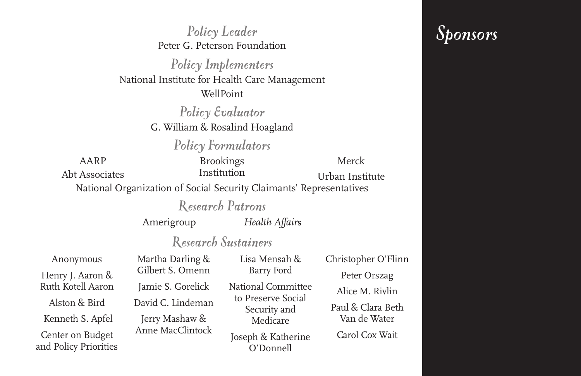*Policy Leader* Peter G. Peterson Foundation *Policy Implementers* National Institute for Health Care Management WellPoint *Policy Evaluator* G. William & Rosalind Hoagland *Policy Formulators* National Organization of Social Security Claimants' Representatives *Research Patrons* Amerigroup *Health Affair***s** *Research Sustainers* Anonymous Henry J. Aaron & Ruth Kotell Aaron Alston & Bird Kenneth S. Apfel Center on Budget and Policy Priorities Martha Darling & Gilbert S. Omenn Jamie S. Gorelick David C. Lindeman Jerry Mashaw & Anne MacClintock Lisa Mensah & Barry Ford National Committee to Preserve Social Security and Medicare Joseph & Katherine O'Donnell Christopher O'Flinn Peter Orszag Alice M. Rivlin Paul & Clara Beth Van de Water Carol Cox Wait AARP Abt Associates Brookings Institution Merck Urban Institute

*Sponsors*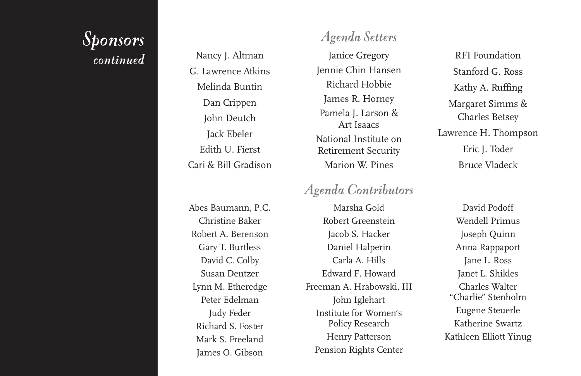#### *Sponsors c o n t i n u e d*

Nancy J. Altman G. Lawrence Atkins Melinda Buntin Dan Crippen John Deutch Jack Ebeler Edith U. Fierst Cari & Bill Gradison

Abes Baumann, P.C. Christine Baker Robert A. Berenson Gary T. Burtless David C. Colby Susan Dentzer Lynn M. Etheredge Peter Edelman Judy Feder Richard S. Foster Mark S. Freeland James O. Gibson

#### *Ag e n d a S e t t e rs*

Janice Gregory Jennie Chin Hansen Richard Hobbie James R. Horney Pamela J. Larson & Art Isaacs National Institute on Retirement Security Marion W. Pines

#### *Agenda Contributors*

Marsha Gold Robert Greenstein Jacob S. Hacker Daniel Halperin Carla A. Hills Edward F. Howard Freeman A. Hrabowski, III John Iglehart Institute for Women's Policy Research Henry Patterson Pension Rights Center

RFI Foundation Stanford G. Ross Kathy A. Ruffing Margaret Simms & Charles Betsey Lawrence H. Thompson Eric J. Toder Bruce Vladeck

David Podoff Wendell Primus Joseph Quinn Anna Rappaport Jane L. Ross Janet L. Shikles Charles Walter "Charlie" Stenholm Eugene Steuerle Katherine Swartz Kathleen Elliott Yinug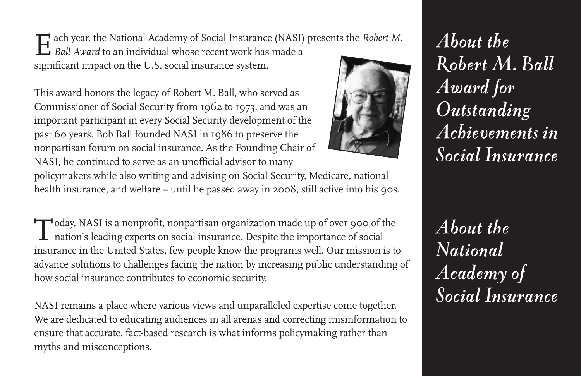Each year, the National Academy of Social Insurance (NASI) presents the *Robert M.*<br>Ball *Award* to an individual whose recent work has made a significant impact on the U.S. social insurance system.

This award honors the legacy of Robert M. Ball, who served as Commissioner of Social Security from 1962 to 1973, and was an important participant in every Social Security development of the past 60 years. Bob Ball founded NASI in 1986 to preserve the nonpartisan forum on social insurance. As the Founding Chair of NASI, he continued to serve as an unofficial advisor to many



policymakers while also writing and advising on Social Security, Medicare, national health insurance, and welfare – until he passed away in 2008, still active into his 90s.

Today, NASI is <sup>a</sup> nonprofit, nonpartisan organization made up of over <sup>900</sup> of the nation's leading experts on social insurance. Despite the importance of social insurance in the United States, few people know the programs well. Our mission is to advance solutions to challenges facing the nation by increasing public understanding of how social insurance contributes to economic security.

NASI remains a place where various views and unparalleled expertise come together. We are dedicated to educating audiences in all arenas and correcting misinformation to ensure that accurate, fact-based research is what informs policymaking rather than myths and misconceptions.

*About the Robert M. Ball Award for Outstanding Achievements in Social Insurance*

*About the National Academy of Social Insurance*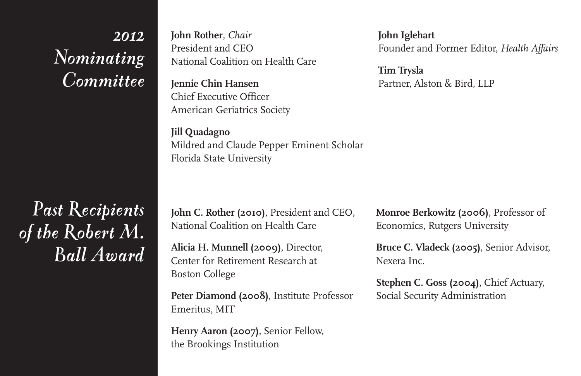### *2012 Nominating Committee*

*Past Recipients of the Robert M. Ball Award* **John Rother**, *Chair* President and CEO National Coalition on Health Care

**Jennie Chin Hansen** Chief Executive Officer American Geriatrics Society

**Jill Quadagno** Mildred and Claude Pepper Eminent Scholar Florida State University

**John Iglehart** Founder and Former Editor, *Health Affairs*

**Tim Trysla** Partner, Alston & Bird, LLP

**John C. Rother (2010)**, President and CEO, National Coalition on Health Care

**Alicia H. Munnell (2009)**, Director, Center for Retirement Research at Boston College

**Peter Diamond (2008)**, Institute Professor Emeritus, MIT

**Henry Aaron (2007)**, Senior Fellow, the Brookings Institution

**Monroe Berkowitz (2006)**, Professor of Economics, Rutgers University

**Bruce C. Vladeck (2005)**, Senior Advisor, Nexera Inc.

**Stephen C. Goss (2004)**, Chief Actuary, Social Security Administration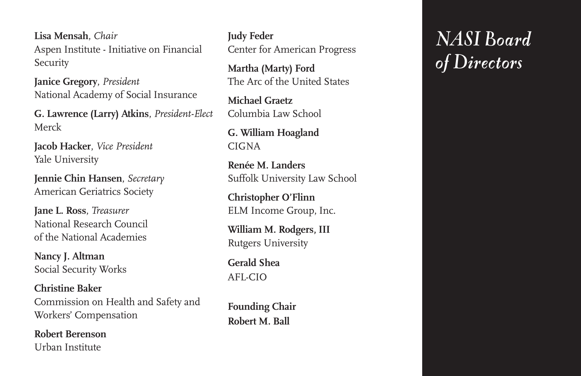**Lisa Mensah**, *Chair* Aspen Institute - Initiative on Financial **Security** 

**Janice Gregory**, *President* National Academy of Social Insurance

**G. Lawrence (Larry) Atkins**, *President-Elect* Merck

**Jacob Hacker**, *Vice President* Yale University

**Jennie Chin Hansen**, *Secretary* American Geriatrics Society

**Jane L. Ross**, *Treasurer* National Research Council of the National Academies

**Nancy J. Altman** Social Security Works

**Christine Baker** Commission on Health and Safety and Workers' Compensation

**Robert Berenson** Urban Institute

**Judy Feder** Center for American Progress

**Martha (Marty) Ford** The Arc of the United States

**Michael Graetz** Columbia Law School

**G. William Hoagland** CIGNA

**Renée M. Landers** Suffolk University Law School

**Christopher O'Flinn** ELM Income Group, Inc.

**William M. Rodgers, III** Rutgers University

**Gerald Shea** AFL-CIO

**Founding Chair Robert M. Ball**

# *NASI Board of Directors*